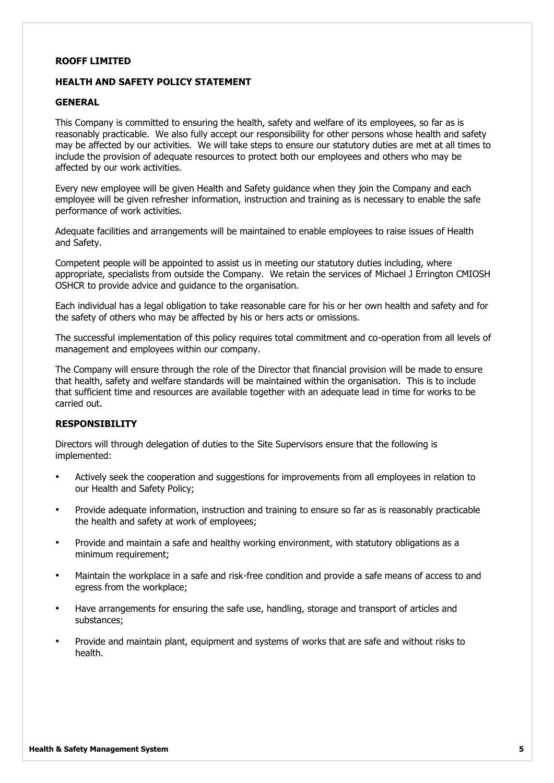## **ROOFF LIMITED**

## **HEALTH AND SAFETY POLICY STATEMENT**

## **GENERAL**

This Company is committed to ensuring the health, safety and welfare of its employees, so far as is reasonably practicable. We also fully accept our responsibility for other persons whose health and safety may be affected by our activities. We will take steps to ensure our statutory duties are met at all times to include the provision of adequate resources to protect both our employees and others who may be affected by our work activities.

Every new employee will be given Health and Safety guidance when they join the Company and each employee will be given refresher information, instruction and training as is necessary to enable the safe performance of work activities.

Adequate facilities and arrangements will be maintained to enable employees to raise issues of Health and Safety.

Competent people will be appointed to assist us in meeting our statutory duties including, where appropriate, specialists from outside the Company. We retain the services of Michael J Errington CMIOSH OSHCR to provide advice and guidance to the organisation.

Each individual has a legal obligation to take reasonable care for his or her own health and safety and for the safety of others who may be affected by his or hers acts or omissions.

The successful implementation of this policy requires total commitment and co-operation from all levels of management and employees within our company.

The Company will ensure through the role of the Director that financial provision will be made to ensure that health, safety and welfare standards will be maintained within the organisation. This is to include that sufficient time and resources are available together with an adequate lead in time for works to be carried out.

## **RESPONSIBILITY**

Directors will through delegation of duties to the Site Supervisors ensure that the following is implemented:

- Actively seek the cooperation and suggestions for improvements from all employees in relation to our Health and Safety Policy;
- Provide adequate information, instruction and training to ensure so far as is reasonably practicable the health and safety at work of employees;
- Provide and maintain a safe and healthy working environment, with statutory obligations as a minimum requirement;
- Maintain the workplace in a safe and risk-free condition and provide a safe means of access to and egress from the workplace;
- Have arrangements for ensuring the safe use, handling, storage and transport of articles and substances;
- Provide and maintain plant, equipment and systems of works that are safe and without risks to health.